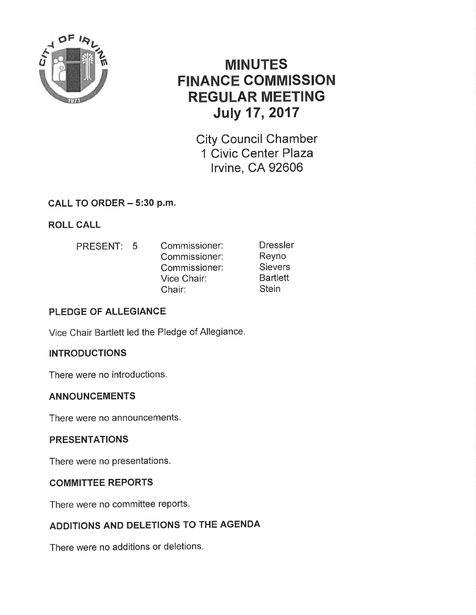

# MINUTES FINANCE COMMISSION REGULAR MEETING July 17,2017

City Council Chamber 1 Civic Center Plaza lrvine, CA 92606

## CALL TO ORDER - 5:30 p.m.

ROLL CALL

PRESENT: 5 Commissioner: Commissioner: Commissioner: Vice Chair: Chair: **Dressler** Reyno **Sievers Bartlett Stein** 

## PLEDGE OF ALLEGIANCE

Vice Chair Bartlett led the Pledge of Allegiance.

## INTRODUCTIONS

There were no introductions,

## ANNOUNCEMENTS

There were no announcements.

## PRESENTATIONS

There were no presentations.

## COMMITTEE REPORTS

There were no committee reports.

## ADDITIONS AND DELETIONS TO THE AGENDA

There were no additions or deletions.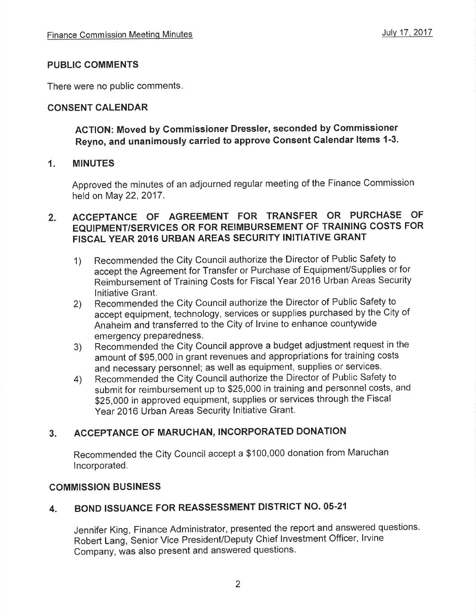### PUBLIC COMMENTS

There were no public comments

## CONSENT CALENDAR

## ACTION: Moved by Commissioner Dressler, seconded by Commissioner Reyno, and unanimously carried to approve Gonsent Calendar ltems 1-3.

#### 1. MINUTES

Approved the minutes of an adjourned regular meeting of the Finance Commission held on May 22,2017.

#### $2.$ ACCEPTANCE OF AGREEMENT FOR TRANSFER OR PURCHASE OF EQUIPMENT/SERVICES OR FOR REIMBURSEMENT OF TRAINING COSTS FOR FISCAL YEAR 2016 URBAN AREAS SECURITY INITIATIVE GRANT

- 1) Recommended the City Council authorize the Director of Public Safety to accept the Agreement for Transfer or Purchase of Equipment/Supplies or for Reimbursement of Training Costs for Fiscal Year 2016 Urban Areas Security lnitiative Grant.
- Recommended the City Council authorize the Director of Public Safety to accept equipment, technology, services or supplies purchased by the City of Anaheim and transferred to the City of lrvine to enhance countywide emergency preparedness. 2)
- Recommended the City Council approve a budget adjustment request in the amount of \$95,000 in grant revenues and appropriations for training costs and necessary personnel; as well as equipment, supplies or services. 3)
- Recommended the City Council authorize the Director of Public Safety to submit for reimbursement up to \$25,000 in training and personnel costs, and \$25,000 in approved equipment, supplies or services through the Fiscal Year 2016 Urban Areas Security Initiative Grant. 4)

## 3. ACCEPTANGE OF MARUCHAN, INCORPORATED DONATION

Recommended the City Council accept a \$100,000 donation from Maruchan lncorporated.

## COMMISSION BUSINESS

## 4. BOND ISSUANCE FOR REASSESSMENT DISTRICT NO. 05-21

Jennifer King, Finance Administrator, presented the report and answered questions. Robert Lang, Senior Vice President/Deputy Chief lnvestment Officer, lrvine Company, was also present and answered questions.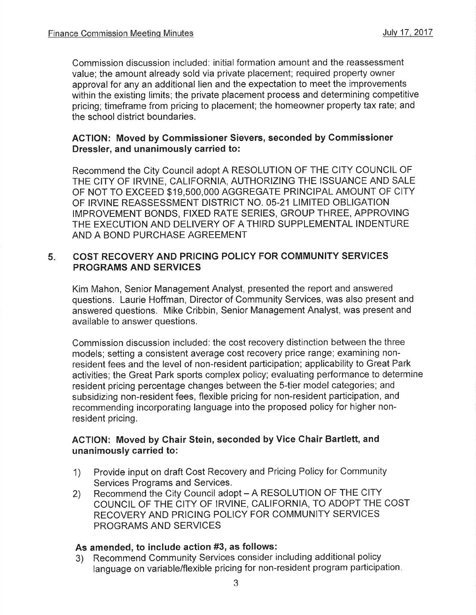Commission discussion included: initial formation amount and the reassessment value; the amount already sold via private placement; required property owner approval for any an additional lien and the expectation to meet the improvements within the existing limits; the private placement process and determining competitive pricing; timeframe from pricing to placement; the homeowner property tax rate; and the school district boundaries.

#### ACTION: Moved by Gommissioner Sievers, seconded by Gommissioner Dressler, and unanimously carried to:

Recommend the City Council adopt A RESOLUTION OF THE CITY COUNCIL OF THE CITY OF IRVINE, CALIFORNIA, AUTHORIZING THE ISSUANCE AND SALE OF NOT TO EXCEED \$19,5OO,OOO AGGREGATE PRINCIPAL AMOUNT OF CITY OF IRVINE REASSESSMENT DISTRICT NO. O5-21 LIMITED OBLIGATION IMPROVEMENT BONDS, FIXED RATE SERIES, GROUP THREE, APPROVING THE EXECUTION AND DELIVERY OF A THIRD SUPPLEMENTAL INDENTURE AND A BOND PURCHASE AGREEMENT

#### $5.$ COST RECOVERY AND PRICING POLICY FOR COMMUNITY SERVICES PROGRAMS AND SERVICES

Kim Mahon, Senior Management Analyst, presented the report and answered questions. Laurie Hoffman, Director of Community Services, was also present and answered questions. Mike Cribbin, Senior Management Analyst, was present and available to answer questions.

Commission discussion included: the cost recovery distinction between the three models; setting a consistent average cost recovery price range; examining nonresident fees and the level of non-resident participation; applicability to Great Park activities; the Great Park sports complex policy; evaluating performance to determine resident pricing percentage changes between the 5-tier model categories; and subsidizing non-resident fees, flexible pricing for non-resident participation, and recommending incorporating language into the proposed policy for higher nonresident pricing.

#### ACTION: Moved by Chair Stein, seconded by Vice Chair Bartlett, and unanimously carried to:

- 1) Provide input on draft Cost Recovery and Pricing Policy for Community Services Programs and Services.
- 2) Recommend the City Council adopt A RESOLUTION OF THE CITY COUNCIL OF THE CITY OF IRVINE, CALIFORNIA, TO ADOPT THE COST RECOVERY AND PRICING POLICY FOR COMMUNITY SERVICES PROGRAMS AND SERVICES

#### As amended, to include action #3, as follows:

3) Recommend Community Services consider including additional policy language on variable/flexible pricing for non-resident program participation